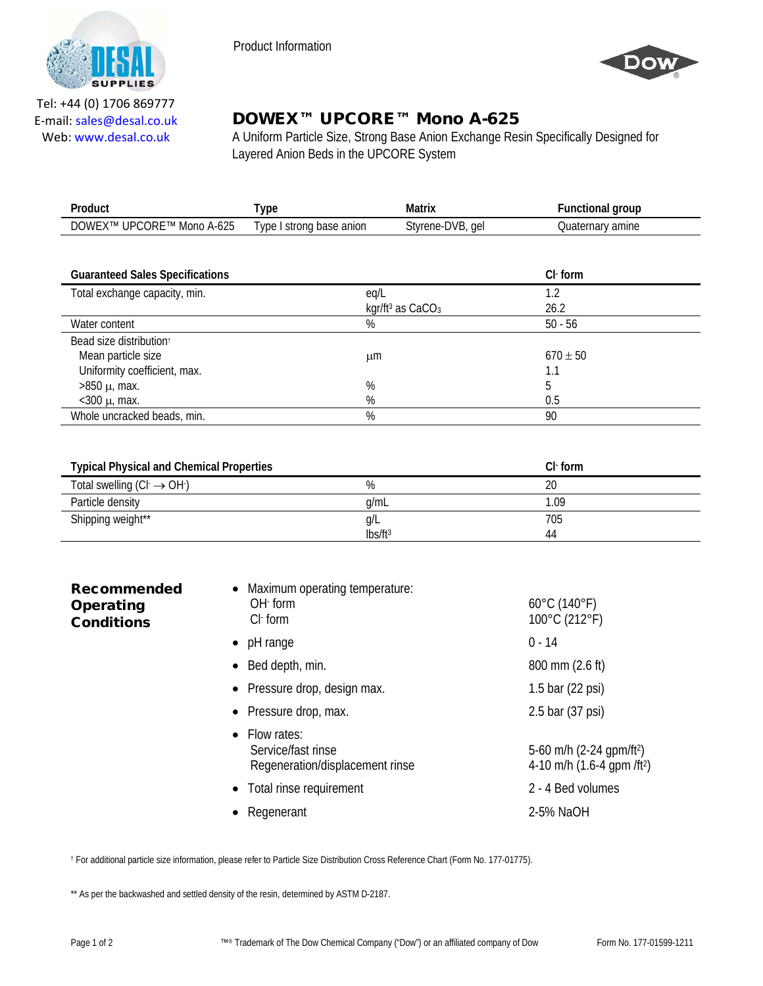

Product Information



Tel: +44 (0) 1706 869777 E‐mail: sales@desal.co.uk Web: www.desal.co.uk

## DOWEX™ UPCORE™ Mono A-625

A Uniform Particle Size, Strong Base Anion Exchange Resin Specifically Designed for Layered Anion Beds in the UPCORE System

| Product                                | Type                     | Matrix                                   | <b>Functional group</b> |
|----------------------------------------|--------------------------|------------------------------------------|-------------------------|
| DOWEX™ UPCORE™ Mono A-625              | Type I strong base anion | Styrene-DVB, gel                         | Quaternary amine        |
|                                        |                          |                                          |                         |
| <b>Guaranteed Sales Specifications</b> |                          |                                          | $Cl1$ form              |
| Total exchange capacity, min.          | eq/L                     |                                          | 1.2                     |
|                                        |                          | kgr/ft <sup>3</sup> as CaCO <sub>3</sub> | 26.2                    |
| Water content                          | $\%$                     |                                          | $50 - 56$               |
| Bead size distribution <sup>+</sup>    |                          |                                          |                         |
| Mean particle size                     | μm                       |                                          | $670 \pm 50$            |
| Uniformity coefficient, max.           |                          |                                          | 1.1                     |
| $>850 \mu$ , max.                      | %                        |                                          | 5                       |
| $<$ 300 $\mu$ , max.                   | %                        |                                          | 0.5                     |
| Whole uncracked beads, min.            | %                        |                                          | 90                      |

| <b>Typical Physical and Chemical Properties</b> |                     | $Cl1$ form |
|-------------------------------------------------|---------------------|------------|
| Total swelling $(Cl \rightarrow OH)$            | %                   | 20         |
| Particle density                                | g/mL                | 1.09       |
| Shipping weight**                               | g/L                 | 705        |
|                                                 | lbs/ft <sup>3</sup> | 44         |

| <b>Recommended</b><br>Operating<br><b>Conditions</b> | Maximum operating temperature:<br>$OH1$ form<br>$ClF$ form             | $60^{\circ}$ C (140 $^{\circ}$ F)<br>100°C (212°F)                                 |
|------------------------------------------------------|------------------------------------------------------------------------|------------------------------------------------------------------------------------|
|                                                      | pH range<br>$\bullet$                                                  | $0 - 14$                                                                           |
|                                                      | Bed depth, min.                                                        | 800 mm (2.6 ft)                                                                    |
|                                                      | • Pressure drop, design max.                                           | 1.5 bar (22 psi)                                                                   |
|                                                      | • Pressure drop, max.                                                  | 2.5 bar (37 psi)                                                                   |
|                                                      | • Flow rates:<br>Service/fast rinse<br>Regeneration/displacement rinse | 5-60 m/h $(2-24$ gpm/ft <sup>2</sup> )<br>4-10 m/h $(1.6-4$ qpm /ft <sup>2</sup> ) |
|                                                      | Total rinse requirement<br>$\bullet$                                   | 2 - 4 Bed volumes                                                                  |
|                                                      | Regenerant                                                             | 2-5% NaOH                                                                          |

† For additional particle size information, please refer to Particle Size Distribution Cross Reference Chart (Form No. 177-01775).

\*\* As per the backwashed and settled density of the resin, determined by ASTM D-2187.